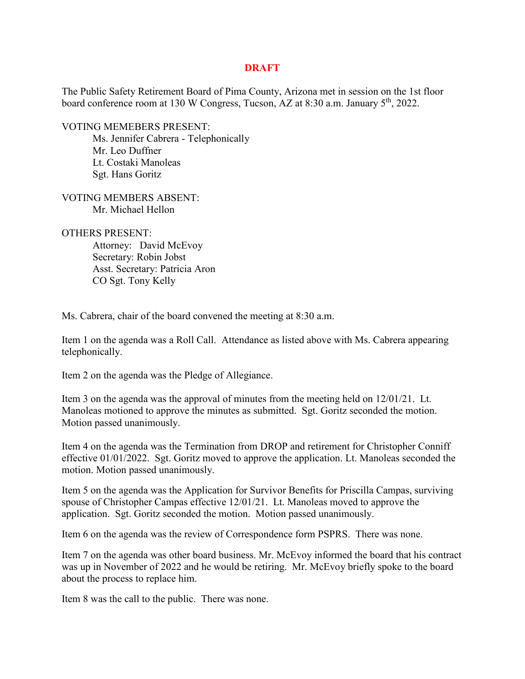## **DRAFT**

The Public Safety Retirement Board of Pima County, Arizona met in session on the 1st floor board conference room at 130 W Congress, Tucson, AZ at 8:30 a.m. January 5<sup>th</sup>, 2022.

VOTING MEMEBERS PRESENT:

Ms. Jennifer Cabrera - Telephonically Mr. Leo Duffner Lt. Costaki Manoleas Sgt. Hans Goritz

VOTING MEMBERS ABSENT: Mr. Michael Hellon

OTHERS PRESENT:

Attorney: David McEvoy Secretary: Robin Jobst Asst. Secretary: Patricia Aron CO Sgt. Tony Kelly

Ms. Cabrera, chair of the board convened the meeting at 8:30 a.m.

Item 1 on the agenda was a Roll Call. Attendance as listed above with Ms. Cabrera appearing telephonically.

Item 2 on the agenda was the Pledge of Allegiance.

Item 3 on the agenda was the approval of minutes from the meeting held on 12/01/21. Lt. Manoleas motioned to approve the minutes as submitted. Sgt. Goritz seconded the motion. Motion passed unanimously.

Item 4 on the agenda was the Termination from DROP and retirement for Christopher Conniff effective 01/01/2022. Sgt. Goritz moved to approve the application. Lt. Manoleas seconded the motion. Motion passed unanimously.

Item 5 on the agenda was the Application for Survivor Benefits for Priscilla Campas, surviving spouse of Christopher Campas effective 12/01/21. Lt. Manoleas moved to approve the application. Sgt. Goritz seconded the motion. Motion passed unanimously.

Item 6 on the agenda was the review of Correspondence form PSPRS. There was none.

Item 7 on the agenda was other board business. Mr. McEvoy informed the board that his contract was up in November of 2022 and he would be retiring. Mr. McEvoy briefly spoke to the board about the process to replace him.

Item 8 was the call to the public. There was none.